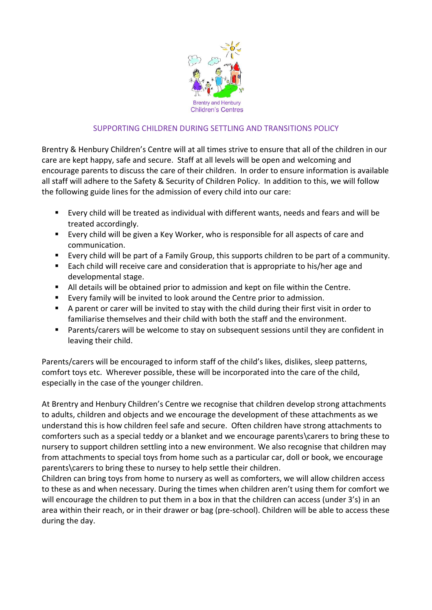

## SUPPORTING CHILDREN DURING SETTLING AND TRANSITIONS POLICY

Brentry & Henbury Children's Centre will at all times strive to ensure that all of the children in our care are kept happy, safe and secure. Staff at all levels will be open and welcoming and encourage parents to discuss the care of their children. In order to ensure information is available all staff will adhere to the Safety & Security of Children Policy. In addition to this, we will follow the following guide lines for the admission of every child into our care:

- Every child will be treated as individual with different wants, needs and fears and will be treated accordingly.
- **Exery child will be given a Key Worker, who is responsible for all aspects of care and** communication.
- Every child will be part of a Family Group, this supports children to be part of a community.
- Each child will receive care and consideration that is appropriate to his/her age and developmental stage.
- All details will be obtained prior to admission and kept on file within the Centre.
- Every family will be invited to look around the Centre prior to admission.
- A parent or carer will be invited to stay with the child during their first visit in order to familiarise themselves and their child with both the staff and the environment.
- Parents/carers will be welcome to stay on subsequent sessions until they are confident in leaving their child.

Parents/carers will be encouraged to inform staff of the child's likes, dislikes, sleep patterns, comfort toys etc. Wherever possible, these will be incorporated into the care of the child, especially in the case of the younger children.

At Brentry and Henbury Children's Centre we recognise that children develop strong attachments to adults, children and objects and we encourage the development of these attachments as we understand this is how children feel safe and secure. Often children have strong attachments to comforters such as a special teddy or a blanket and we encourage parents\carers to bring these to nursery to support children settling into a new environment. We also recognise that children may from attachments to special toys from home such as a particular car, doll or book, we encourage parents\carers to bring these to nursey to help settle their children.

Children can bring toys from home to nursery as well as comforters, we will allow children access to these as and when necessary. During the times when children aren't using them for comfort we will encourage the children to put them in a box in that the children can access (under 3's) in an area within their reach, or in their drawer or bag (pre-school). Children will be able to access these during the day.